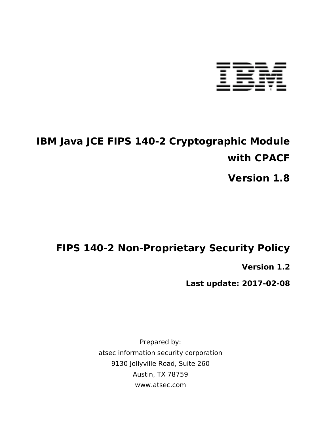

# **IBM Java JCE FIPS 140-2 Cryptographic Module with CPACF**

**Version 1.8**

# **FIPS 140-2 Non-Proprietary Security Policy**

**Version 1.2**

**Last update: 2017-02-08**

Prepared by: atsec information security corporation 9130 Jollyville Road, Suite 260 Austin, TX 78759 www.atsec.com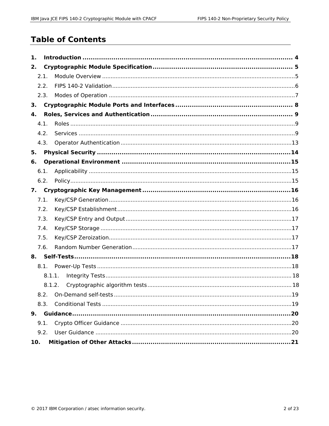## **Table of Contents**

| 1.   |        |  |  |  |
|------|--------|--|--|--|
| 2.   |        |  |  |  |
|      | 2.1.   |  |  |  |
|      | 2.2.   |  |  |  |
|      | 2.3.   |  |  |  |
| 3.   |        |  |  |  |
| 4.   |        |  |  |  |
|      | 4.1.   |  |  |  |
|      | 4.2.   |  |  |  |
|      | 4.3.   |  |  |  |
| 5.   |        |  |  |  |
| 6.   |        |  |  |  |
| 6.1. |        |  |  |  |
|      | 6.2.   |  |  |  |
| 7.   |        |  |  |  |
|      | 7.1.   |  |  |  |
|      | 7.2.   |  |  |  |
|      | 7.3.   |  |  |  |
|      | 7.4.   |  |  |  |
|      | 7.5.   |  |  |  |
|      | 7.6.   |  |  |  |
|      |        |  |  |  |
|      | 8.1.   |  |  |  |
|      | 8.1.1. |  |  |  |
|      | 8.1.2. |  |  |  |
|      |        |  |  |  |
|      | 8.3.   |  |  |  |
|      |        |  |  |  |
| 9.1. |        |  |  |  |
|      | 9.2.   |  |  |  |
| 10.  |        |  |  |  |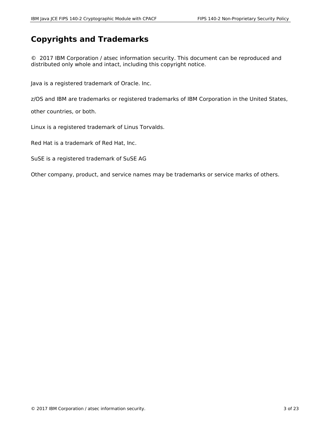#### **Copyrights and Trademarks**

© 2017 IBM Corporation / atsec information security. This document can be reproduced and distributed only whole and intact, including this copyright notice.

Java is a registered trademark of Oracle. Inc.

z/OS and IBM are trademarks or registered trademarks of IBM Corporation in the United States,

other countries, or both.

Linux is a registered trademark of Linus Torvalds.

Red Hat is a trademark of Red Hat, Inc.

SuSE is a registered trademark of SuSE AG

Other company, product, and service names may be trademarks or service marks of others.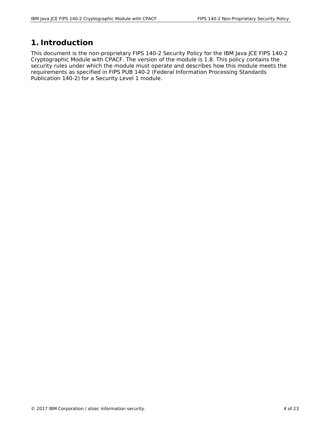## **1. Introduction**

This document is the non-proprietary FIPS 140-2 Security Policy for the IBM Java JCE FIPS 140-2 Cryptographic Module with CPACF. The version of the module is 1.8. This policy contains the security rules under which the module must operate and describes how this module meets the requirements as specified in FIPS PUB 140-2 (Federal Information Processing Standards Publication 140-2) for a Security Level 1 module.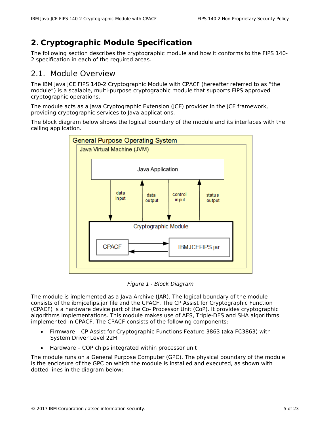# **2. Cryptographic Module Specification**

The following section describes the cryptographic module and how it conforms to the FIPS 140- 2 specification in each of the required areas.

#### 2.1. Module Overview

The IBM Java JCE FIPS 140-2 Cryptographic Module with CPACF (hereafter referred to as "the module") is a scalable, multi-purpose cryptographic module that supports FIPS approved cryptographic operations.

The module acts as a Java Cryptographic Extension (JCE) provider in the JCE framework, providing cryptographic services to Java applications.

The block diagram below shows the logical boundary of the module and its interfaces with the calling application.



*Figure 1 - Block Diagram*

The module is implemented as a Java Archive (JAR). The logical boundary of the module consists of the ibmjcefips.jar file and the CPACF. The CP Assist for Cryptographic Function (CPACF) is a hardware device part of the Co- Processor Unit (CoP). It provides cryptographic algorithms implementations. This module makes use of AES, Triple-DES and SHA algorithms implemented in CPACF. The CPACF consists of the following components:

- Firmware CP Assist for Cryptographic Functions Feature 3863 (aka FC3863) with System Driver Level 22H
- Hardware COP chips integrated within processor unit

The module runs on a General Purpose Computer (GPC). The physical boundary of the module is the enclosure of the GPC on which the module is installed and executed, as shown with dotted lines in the diagram below: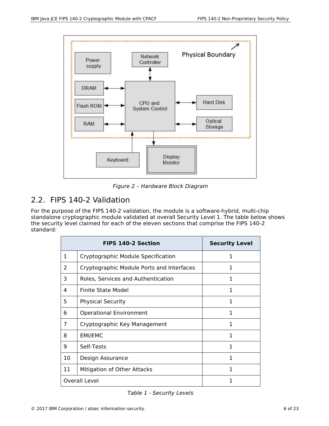

*Figure 2 – Hardware Block Diagram*

#### 2.2. FIPS 140-2 Validation

For the purpose of the FIPS 140-2 validation, the module is a software-hybrid, multi-chip standalone cryptographic module validated at overall Security Level 1. The table below shows the security level claimed for each of the eleven sections that comprise the FIPS 140-2 standard:

|               | <b>FIPS 140-2 Section</b>                 | <b>Security Level</b> |
|---------------|-------------------------------------------|-----------------------|
| 1             | Cryptographic Module Specification        | 1                     |
| $\mathcal{P}$ | Cryptographic Module Ports and Interfaces | 1                     |
| 3             | Roles, Services and Authentication        | 1                     |
| 4             | Finite State Model                        | 1                     |
| 5             | <b>Physical Security</b>                  | 1                     |
| 6             | <b>Operational Environment</b>            | 1                     |
| 7             | Cryptographic Key Management              | 1                     |
| 8             | <b>EMI/EMC</b>                            | 1                     |
| 9             | Self-Tests                                | 1                     |
| 10            | Design Assurance                          | 1                     |
| 11            | Mitigation of Other Attacks               | 1                     |
|               | <b>Overall Level</b>                      | 1                     |

*Table 1 - Security Levels*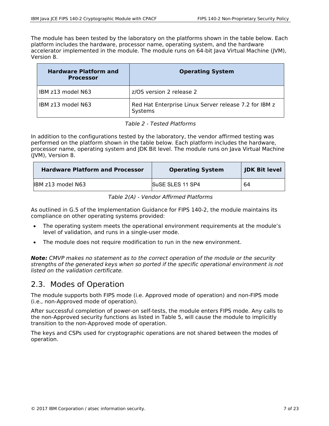The module has been tested by the laboratory on the platforms shown in the table below. Each platform includes the hardware, processor name, operating system, and the hardware accelerator implemented in the module. The module runs on 64-bit Java Virtual Machine (JVM), Version 8.

| <b>Hardware Platform and</b><br><b>Processor</b> | <b>Operating System</b>                                          |
|--------------------------------------------------|------------------------------------------------------------------|
| IBM z13 model N63                                | z/OS version 2 release 2                                         |
| IBM z13 model N63                                | Red Hat Enterprise Linux Server release 7.2 for IBM z<br>Systems |

|  |  |  | Table 2 - Tested Platforms |
|--|--|--|----------------------------|
|--|--|--|----------------------------|

In addition to the configurations tested by the laboratory, the vendor affirmed testing was performed on the platform shown in the table below. Each platform includes the hardware, processor name, operating system and JDK Bit level. The module runs on Java Virtual Machine (JVM), Version 8.

| <b>Hardware Platform and Processor</b> | <b>Operating System</b> | <b>JDK Bit level</b> |
|----------------------------------------|-------------------------|----------------------|
| IBM z13 model N63                      | <b>SuSE SLES 11 SP4</b> | 64                   |

*Table 2(A) - Vendor Affirmed Platforms*

As outlined in G.5 of the Implementation Guidance for FIPS 140-2, the module maintains its compliance on other operating systems provided:

- The operating system meets the operational environment requirements at the module's level of validation, and runs in a single-user mode.
- The module does not require modification to run in the new environment.

*Note: CMVP makes no statement as to the correct operation of the module or the security strengths of the generated keys when so ported if the specific operational environment is not listed on the validation certificate.* 

#### 2.3. Modes of Operation

The module supports both FIPS mode (i.e. Approved mode of operation) and non-FIPS mode (i.e., non-Approved mode of operation).

After successful completion of power-on self-tests, the module enters FIPS mode. Any calls to the non-Approved security functions as listed in Table 5, will cause the module to implicitly transition to the non-Approved mode of operation.

The keys and CSPs used for cryptographic operations are not shared between the modes of operation.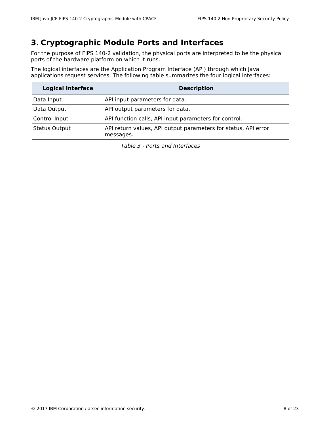## **3. Cryptographic Module Ports and Interfaces**

For the purpose of FIPS 140-2 validation, the physical ports are interpreted to be the physical ports of the hardware platform on which it runs.

The logical interfaces are the Application Program Interface (API) through which Java applications request services. The following table summarizes the four logical interfaces:

| <b>Logical Interface</b> | <b>Description</b>                                                          |
|--------------------------|-----------------------------------------------------------------------------|
| Data Input               | API input parameters for data.                                              |
| Data Output              | API output parameters for data.                                             |
| Control Input            | API function calls, API input parameters for control.                       |
| <b>Status Output</b>     | API return values, API output parameters for status, API error<br>messages. |

*Table 3 - Ports and Interfaces*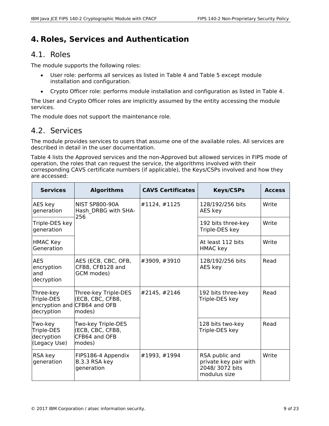## **4. Roles, Services and Authentication**

#### 4.1. Roles

The module supports the following roles:

- User role: performs all services as listed in Table 4 and Table 5 except module installation and configuration.
- Crypto Officer role: performs module installation and configuration as listed in Table 4.

The User and Crypto Officer roles are implicitly assumed by the entity accessing the module services.

The module does not support the maintenance role.

#### 4.2. Services

The module provides services to users that assume one of the available roles. All services are described in detail in the user documentation.

Table 4 lists the Approved services and the non-Approved but allowed services in FIPS mode of operation, the roles that can request the service, the algorithms involved with their corresponding CAVS certificate numbers (if applicable), the Keys/CSPs involved and how they are accessed:

| <b>Services</b>                                     | <b>Algorithms</b>                                                                  | <b>CAVS Certificates</b> | <b>Keys/CSPs</b>                                                          | <b>Access</b> |
|-----------------------------------------------------|------------------------------------------------------------------------------------|--------------------------|---------------------------------------------------------------------------|---------------|
| AES key<br>generation                               | <b>NIST SP800-90A</b><br>Hash DRBG with SHA-<br>256                                | #1124, #1125             | 128/192/256 bits<br>AES key                                               | Write         |
| Triple-DES key<br>generation                        |                                                                                    |                          | 192 bits three-key<br>Triple-DES key                                      | Write         |
| <b>HMAC Key</b><br>Generation                       |                                                                                    |                          | At least 112 bits<br><b>HMAC</b> key                                      | Write         |
| <b>AES</b><br>encryption<br>and<br>decryption       | AES (ECB, CBC, OFB,<br>CFB8, CFB128 and<br>GCM modes)                              | #3909, #3910             | 128/192/256 bits<br>AES key                                               | Read          |
| Three-key<br>Triple-DES<br>decryption               | Three-key Triple-DES<br>(ECB, CBC, CFB8,<br>encryption and CFB64 and OFB<br>modes) | #2145, #2146             | 192 bits three-key<br>Triple-DES key                                      | Read          |
| Two-key<br>Triple-DES<br>decryption<br>(Legacy Use) | Two-key Triple-DES<br>(ECB, CBC, CFB8,<br>CFB64 and OFB<br>modes)                  |                          | 128 bits two-key<br>Triple-DES key                                        | Read          |
| RSA key<br>generation                               | FIPS186-4 Appendix<br>B.3.3 RSA key<br>generation                                  | #1993, #1994             | RSA public and<br>private key pair with<br>2048/3072 bits<br>modulus size | Write         |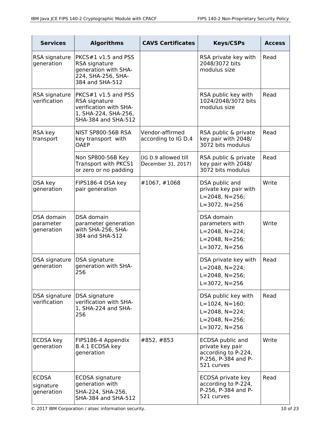| <b>Services</b>                         | <b>Algorithms</b>                                                                                               | <b>CAVS Certificates</b>                   | <b>Keys/CSPs</b>                                                                                                                  | <b>Access</b> |
|-----------------------------------------|-----------------------------------------------------------------------------------------------------------------|--------------------------------------------|-----------------------------------------------------------------------------------------------------------------------------------|---------------|
| RSA signature<br>generation             | PKCS#1 v1.5 and PSS<br>RSA signature<br>generation with SHA-<br>224, SHA-256, SHA-<br>384 and SHA-512           |                                            | RSA private key with<br>2048/3072 bits<br>modulus size                                                                            | Read          |
| RSA signature<br>verification           | $PKCS#1 v1.5$ and PSS<br>RSA signature<br>verification with SHA-<br>1, SHA-224, SHA-256,<br>SHA-384 and SHA-512 |                                            | RSA public key with<br>1024/2048/3072 bits<br>modulus size                                                                        | Read          |
| RSA key<br>transport                    | NIST SP800-56B RSA<br>key transport with<br><b>OAEP</b>                                                         | Vendor-affirmed<br>according to IG D.4     | RSA public & private<br>key pair with 2048/<br>3072 bits modulus                                                                  | Read          |
|                                         | Non SP800-56B Key<br>Transport with PKCS1<br>or zero or no padding                                              | (IG D.9 allowed till<br>December 31, 2017) | RSA public & private<br>key pair with 2048/<br>3072 bits modulus                                                                  | Read          |
| DSA key<br>generation                   | FIPS186-4 DSA key<br>pair generation                                                                            | #1067, #1068                               | DSA public and<br>private key pair with<br>$L = 2048$ , $N = 256$ ;<br>$L = 3072$ , $N = 256$                                     | Write         |
| DSA domain<br>parameter<br>generation   | DSA domain<br>parameter generation<br>with SHA-256, SHA-<br>384 and SHA-512                                     |                                            | DSA domain<br>parameters with<br>$L = 2048$ , $N = 224$ ;<br>$L = 2048$ , $N = 256$ ;<br>$L = 3072$ , $N = 256$                   | Write         |
| DSA signature<br>generation             | DSA signature<br>generation with SHA-<br>256                                                                    |                                            | DSA private key with<br>$L = 2048$ , $N = 224$ ;<br>$L = 2048$ , N=256;<br>$L = 3072$ , $N = 256$                                 | Read          |
| DSA signature<br>verification           | DSA signature<br>verification with SHA-<br>1, SHA-224 and SHA-<br>256                                           |                                            | DSA public key with<br>$L = 1024$ , $N = 160$ ;<br>$L = 2048$ , $N = 224$ ;<br>$L = 2048$ , $N = 256$ ;<br>$L = 3072$ , $N = 256$ | Read          |
| ECDSA key<br>generation                 | FIPS186-4 Appendix<br>B.4.1 ECDSA key<br>generation                                                             | #852, #853                                 | ECDSA public and<br>private key pair<br>according to P-224,<br>P-256, P-384 and P-<br>521 curves                                  | Write         |
| <b>ECDSA</b><br>signature<br>generation | ECDSA signature<br>generation with<br>SHA-224, SHA-256,<br>SHA-384 and SHA-512                                  |                                            | ECDSA private key<br>according to P-224,<br>P-256, P-384 and P-<br>521 curves                                                     | Read          |

© 2017 IBM Corporation / atsec information security. 10 of 23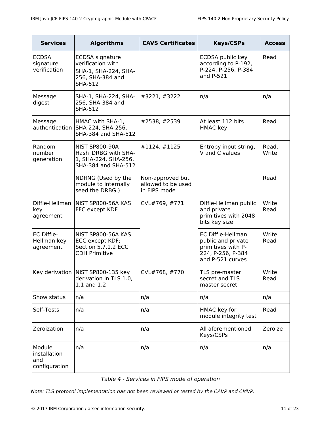| <b>Services</b>                                                              | <b>Algorithms</b>                                                                                         | <b>CAVS Certificates</b>                               | <b>Keys/CSPs</b>                                                                                              | <b>Access</b>  |
|------------------------------------------------------------------------------|-----------------------------------------------------------------------------------------------------------|--------------------------------------------------------|---------------------------------------------------------------------------------------------------------------|----------------|
| <b>ECDSA</b><br>signature<br>verification                                    | <b>ECDSA</b> signature<br>verification with<br>SHA-1, SHA-224, SHA-<br>256, SHA-384 and<br><b>SHA-512</b> |                                                        | ECDSA public key<br>according to P-192,<br>P-224, P-256, P-384<br>and P-521                                   | Read           |
| Message<br>digest                                                            | SHA-1, SHA-224, SHA-<br>256, SHA-384 and<br><b>SHA-512</b>                                                | #3221, #3222                                           | n/a                                                                                                           | n/a            |
| Message<br>authentication                                                    | HMAC with SHA-1,<br>SHA-224, SHA-256,<br>SHA-384 and SHA-512                                              | #2538, #2539                                           | At least 112 bits<br><b>HMAC</b> key                                                                          | Read           |
| Random<br>number<br>generation                                               | <b>NIST SP800-90A</b><br>Hash DRBG with SHA-<br>1, SHA-224, SHA-256,<br>SHA-384 and SHA-512               | #1124, #1125                                           | Entropy input string,<br>V and C values                                                                       | Read,<br>Write |
|                                                                              | NDRNG (Used by the<br>module to internally<br>seed the DRBG.)                                             | Non-approved but<br>allowed to be used<br>in FIPS mode |                                                                                                               | Read           |
| Diffie-Hellman<br>key<br>agreement                                           | NIST SP800-56A KAS<br>FFC except KDF                                                                      | CVL#769, #771                                          | Diffie-Hellman public<br>and private<br>primitives with 2048<br>bits key size                                 | Write<br>Read  |
| EC Diffie-<br>Hellman key<br>agreement                                       | NIST SP800-56A KAS<br>ECC except KDF;<br>Section 5.7.1.2 ECC<br><b>CDH Primitive</b>                      |                                                        | <b>EC Diffie-Hellman</b><br>public and private<br>primitives with P-<br>224, P-256, P-384<br>and P-521 curves | Write<br>Read  |
| Key derivation   NIST SP800-135 key<br>derivation in TLS 1.0,<br>1.1 and 1.2 |                                                                                                           | CVL#768, #770                                          | TLS pre-master<br>secret and TLS<br>master secret                                                             | Write<br>Read  |
| Show status                                                                  | n/a                                                                                                       | n/a                                                    | n/a                                                                                                           | n/a            |
| Self-Tests                                                                   | n/a                                                                                                       | HMAC key for<br>n/a<br>module integrity test           |                                                                                                               | Read           |
| Zeroization                                                                  | n/a                                                                                                       | All aforementioned<br>n/a<br>Keys/CSPs                 |                                                                                                               | Zeroize        |
| Module<br>installation<br>and<br>configuration                               | n/a                                                                                                       | n/a                                                    | n/a                                                                                                           | n/a            |

*Table 4 - Services in FIPS mode of operation*

*Note: TLS protocol implementation has not been reviewed or tested by the CAVP and CMVP.*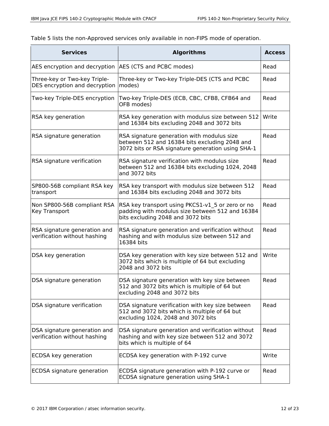Table 5 lists the non-Approved services only available in non-FIPS mode of operation.

| <b>Services</b>                                               | <b>Algorithms</b>                                                                                                                                | <b>Access</b> |
|---------------------------------------------------------------|--------------------------------------------------------------------------------------------------------------------------------------------------|---------------|
| AES encryption and decryption                                 | AES (CTS and PCBC modes)                                                                                                                         | Read          |
| Three-key or Two-key Triple-<br>DES encryption and decryption | Three-key or Two-key Triple-DES (CTS and PCBC<br>modes)                                                                                          | Read          |
| Two-key Triple-DES encryption                                 | Two-key Triple-DES (ECB, CBC, CFB8, CFB64 and<br>OFB modes)                                                                                      | Read          |
| RSA key generation                                            | RSA key generation with modulus size between 512<br>and 16384 bits excluding 2048 and 3072 bits                                                  | Write         |
| RSA signature generation                                      | RSA signature generation with modulus size<br>between 512 and 16384 bits excluding 2048 and<br>3072 bits or RSA signature generation using SHA-1 | Read          |
| RSA signature verification                                    | RSA signature verification with modulus size<br>between 512 and 16384 bits excluding 1024, 2048<br>and 3072 bits                                 | Read          |
| SP800-56B compliant RSA key<br>transport                      | RSA key transport with modulus size between 512<br>and 16384 bits excluding 2048 and 3072 bits                                                   | Read          |
| Non SP800-56B compliant RSA<br>Key Transport                  | RSA key transport using PKCS1-v1 5 or zero or no<br>padding with modulus size between 512 and 16384<br>bits excluding 2048 and 3072 bits         | Read          |
| RSA signature generation and<br>verification without hashing  | RSA signature generation and verification without<br>hashing and with modulus size between 512 and<br>16384 bits                                 | Read          |
| DSA key generation                                            | DSA key generation with key size between 512 and<br>3072 bits which is multiple of 64 but excluding<br>2048 and 3072 bits                        | Write         |
| DSA signature generation                                      | DSA signature generation with key size between<br>512 and 3072 bits which is multiple of 64 but<br>excluding 2048 and 3072 bits                  | Read          |
| DSA signature verification                                    | DSA signature verification with key size between<br>512 and 3072 bits which is multiple of 64 but<br>excluding 1024, 2048 and 3072 bits          | Read          |
| DSA signature generation and<br>verification without hashing  | DSA signature generation and verification without<br>hashing and with key size between 512 and 3072<br>bits which is multiple of 64              | Read          |
| ECDSA key generation                                          | ECDSA key generation with P-192 curve                                                                                                            | Write         |
| ECDSA signature generation                                    | ECDSA signature generation with P-192 curve or<br>ECDSA signature generation using SHA-1                                                         | Read          |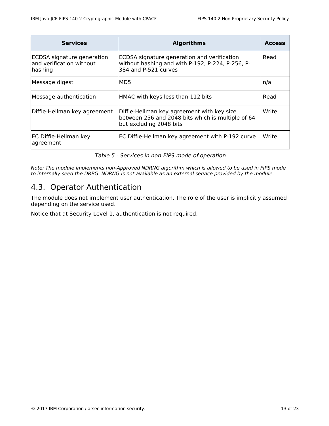| <b>Services</b>                                                   | <b>Algorithms</b>                                                                                                          | <b>Access</b> |
|-------------------------------------------------------------------|----------------------------------------------------------------------------------------------------------------------------|---------------|
| ECDSA signature generation<br>and verification without<br>hashing | ECDSA signature generation and verification<br>without hashing and with P-192, P-224, P-256, P-<br>384 and P-521 curves    | Read          |
| Message digest                                                    | MD <sub>5</sub>                                                                                                            | n/a           |
| Message authentication                                            | HMAC with keys less than 112 bits                                                                                          | Read          |
| Diffie-Hellman key agreement                                      | Diffie-Hellman key agreement with key size<br>between 256 and 2048 bits which is multiple of 64<br>but excluding 2048 bits | Write         |
| EC Diffie-Hellman key<br>agreement                                | EC Diffie-Hellman key agreement with P-192 curve                                                                           | Write         |

*Table 5 - Services in non-FIPS mode of operation*

*Note: The module implements non-Approved NDRNG algorithm which is allowed to be used in FIPS mode to internally seed the DRBG. NDRNG is not available as an external service provided by the module.*

#### 4.3. Operator Authentication

The module does not implement user authentication. The role of the user is implicitly assumed depending on the service used.

Notice that at Security Level 1, authentication is not required.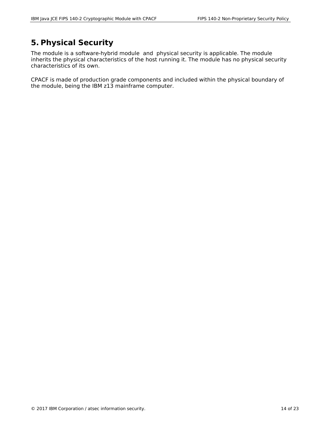## **5. Physical Security**

The module is a software-hybrid module and physical security is applicable. The module inherits the physical characteristics of the host running it. The module has no physical security characteristics of its own.

CPACF is made of production grade components and included within the physical boundary of the module, being the IBM z13 mainframe computer.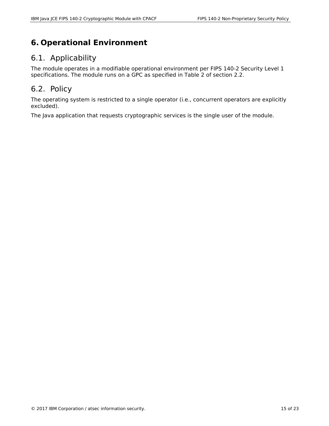# **6. Operational Environment**

#### 6.1. Applicability

The module operates in a modifiable operational environment per FIPS 140-2 Security Level 1 specifications. The module runs on a GPC as specified in Table 2 of section 2.2.

#### 6.2. Policy

The operating system is restricted to a single operator (i.e., concurrent operators are explicitly excluded).

The Java application that requests cryptographic services is the single user of the module.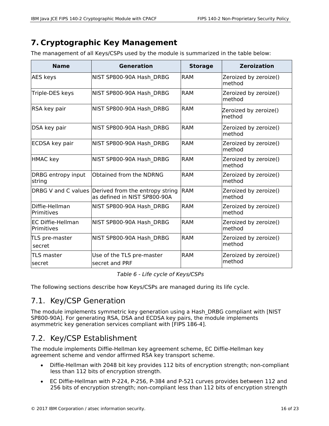## **7. Cryptographic Key Management**

The management of all Keys/CSPs used by the module is summarized in the table below:

| <b>Name</b>                     | Generation                                                                          | <b>Storage</b> | <b>Zeroization</b>              |
|---------------------------------|-------------------------------------------------------------------------------------|----------------|---------------------------------|
| <b>AES keys</b>                 | NIST SP800-90A Hash DRBG                                                            | <b>RAM</b>     | Zeroized by zeroize()<br>method |
| Triple-DES keys                 | NIST SP800-90A Hash DRBG                                                            | <b>RAM</b>     | Zeroized by zeroize()<br>method |
| RSA key pair                    | NIST SP800-90A Hash DRBG                                                            | <b>RAM</b>     | Zeroized by zeroize()<br>method |
| DSA key pair                    | NIST SP800-90A Hash DRBG                                                            | <b>RAM</b>     | Zeroized by zeroize()<br>method |
| ECDSA key pair                  | NIST SP800-90A Hash DRBG                                                            | <b>RAM</b>     | Zeroized by zeroize()<br>method |
| <b>HMAC</b> key                 | NIST SP800-90A Hash DRBG                                                            | <b>RAM</b>     | Zeroized by zeroize()<br>method |
| DRBG entropy input<br>string    | Obtained from the NDRNG                                                             | <b>RAM</b>     | Zeroized by zeroize()<br>method |
|                                 | DRBG V and C values Derived from the entropy string<br>as defined in NIST SP800-90A | <b>RAM</b>     | Zeroized by zeroize()<br>method |
| Diffie-Hellman<br>Primitives    | NIST SP800-90A Hash DRBG                                                            | <b>RAM</b>     | Zeroized by zeroize()<br>method |
| EC Diffie-Hellman<br>Primitives | NIST SP800-90A Hash_DRBG                                                            | <b>RAM</b>     | Zeroized by zeroize()<br>method |
| TLS pre-master<br>secret        | NIST SP800-90A Hash DRBG                                                            | <b>RAM</b>     | Zeroized by zeroize()<br>method |
| <b>TLS master</b><br> secret    | Use of the TLS pre-master<br>secret and PRF                                         | <b>RAM</b>     | Zeroized by zeroize()<br>method |

*Table 6 - Life cycle of Keys/CSPs*

The following sections describe how Keys/CSPs are managed during its life cycle.

#### 7.1. Key/CSP Generation

The module implements symmetric key generation using a Hash\_DRBG compliant with [NIST SP800-90A]. For generating RSA, DSA and ECDSA key pairs, the module implements asymmetric key generation services compliant with [FIPS 186-4].

## 7.2. Key/CSP Establishment

The module implements Diffie-Hellman key agreement scheme, EC Diffie-Hellman key agreement scheme and vendor affirmed RSA key transport scheme.

- Diffie-Hellman with 2048 bit key provides 112 bits of encryption strength; non-compliant less than 112 bits of encryption strength.
- EC Diffie-Hellman with P-224, P-256, P-384 and P-521 curves provides between 112 and 256 bits of encryption strength; non-compliant less than 112 bits of encryption strength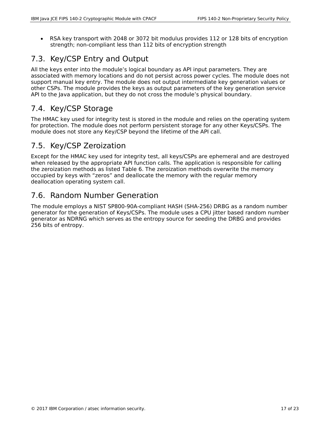RSA key transport with 2048 or 3072 bit modulus provides 112 or 128 bits of encryption strength; non-compliant less than 112 bits of encryption strength

## 7.3. Key/CSP Entry and Output

All the keys enter into the module's logical boundary as API input parameters. They are associated with memory locations and do not persist across power cycles. The module does not support manual key entry. The module does not output intermediate key generation values or other CSPs. The module provides the keys as output parameters of the key generation service API to the Java application, but they do not cross the module's physical boundary.

#### 7.4. Key/CSP Storage

The HMAC key used for integrity test is stored in the module and relies on the operating system for protection. The module does not perform persistent storage for any other Keys/CSPs. The module does not store any Key/CSP beyond the lifetime of the API call.

#### 7.5. Key/CSP Zeroization

Except for the HMAC key used for integrity test, all keys/CSPs are ephemeral and are destroyed when released by the appropriate API function calls. The application is responsible for calling the zeroization methods as listed Table 6. The zeroization methods overwrite the memory occupied by keys with "zeros" and deallocate the memory with the regular memory deallocation operating system call.

#### 7.6. Random Number Generation

The module employs a NIST SP800-90A-compliant HASH (SHA-256) DRBG as a random number generator for the generation of Keys/CSPs. The module uses a CPU jitter based random number generator as NDRNG which serves as the entropy source for seeding the DRBG and provides 256 bits of entropy.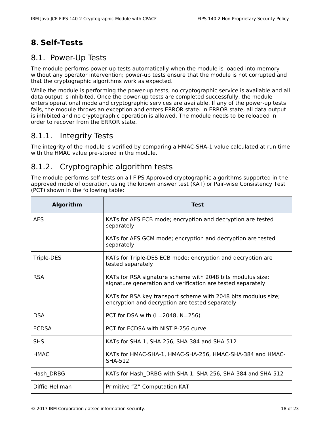# **8. Self-Tests**

#### 8.1. Power-Up Tests

The module performs power-up tests automatically when the module is loaded into memory without any operator intervention; power-up tests ensure that the module is not corrupted and that the cryptographic algorithms work as expected.

While the module is performing the power-up tests, no cryptographic service is available and all data output is inhibited. Once the power-up tests are completed successfully, the module enters operational mode and cryptographic services are available. If any of the power-up tests fails, the module throws an exception and enters ERROR state. In ERROR state, all data output is inhibited and no cryptographic operation is allowed. The module needs to be reloaded in order to recover from the ERROR state.

#### 8.1.1. Integrity Tests

The integrity of the module is verified by comparing a HMAC-SHA-1 value calculated at run time with the HMAC value pre-stored in the module.

## 8.1.2. Cryptographic algorithm tests

The module performs self-tests on all FIPS-Approved cryptographic algorithms supported in the approved mode of operation, using the known answer test (KAT) or Pair-wise Consistency Test (PCT) shown in the following table:

| <b>Algorithm</b> | <b>Test</b>                                                                                                               |
|------------------|---------------------------------------------------------------------------------------------------------------------------|
| <b>AES</b>       | KATs for AES ECB mode; encryption and decryption are tested<br>separately                                                 |
|                  | KATs for AES GCM mode; encryption and decryption are tested<br>separately                                                 |
| Triple-DES       | KATs for Triple-DES ECB mode; encryption and decryption are<br>tested separately                                          |
| <b>RSA</b>       | KATs for RSA signature scheme with 2048 bits modulus size;<br>signature generation and verification are tested separately |
|                  | KATs for RSA key transport scheme with 2048 bits modulus size;<br>encryption and decryption are tested separately         |
| <b>DSA</b>       | PCT for DSA with $(L=2048, N=256)$                                                                                        |
| <b>ECDSA</b>     | PCT for ECDSA with NIST P-256 curve                                                                                       |
| <b>SHS</b>       | KATs for SHA-1, SHA-256, SHA-384 and SHA-512                                                                              |
| <b>HMAC</b>      | KATs for HMAC-SHA-1, HMAC-SHA-256, HMAC-SHA-384 and HMAC-<br><b>SHA-512</b>                                               |
| Hash DRBG        | KATs for Hash DRBG with SHA-1, SHA-256, SHA-384 and SHA-512                                                               |
| Diffie-Hellman   | Primitive "Z" Computation KAT                                                                                             |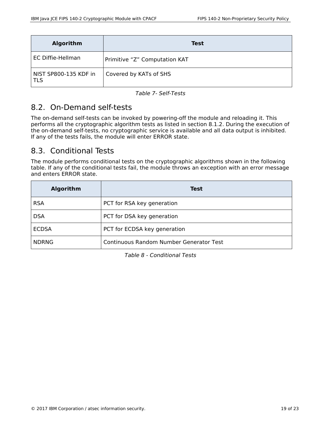| <b>Algorithm</b>             | <b>Test</b>                   |
|------------------------------|-------------------------------|
| EC Diffie-Hellman            | Primitive "Z" Computation KAT |
| NIST SP800-135 KDF in<br>TLS | Covered by KATs of SHS        |

*Table 7- Self-Tests*

## 8.2. On-Demand self-tests

The on-demand self-tests can be invoked by powering-off the module and reloading it. This performs all the cryptographic algorithm tests as listed in section 8.1.2. During the execution of the on-demand self-tests, no cryptographic service is available and all data output is inhibited. If any of the tests fails, the module will enter ERROR state.

## 8.3. Conditional Tests

The module performs conditional tests on the cryptographic algorithms shown in the following table. If any of the conditional tests fail, the module throws an exception with an error message and enters ERROR state.

| <b>Algorithm</b> | Test                                    |
|------------------|-----------------------------------------|
| <b>RSA</b>       | PCT for RSA key generation              |
| <b>DSA</b>       | PCT for DSA key generation              |
| <b>ECDSA</b>     | PCT for ECDSA key generation            |
| <b>NDRNG</b>     | Continuous Random Number Generator Test |

*Table 8 - Conditional Tests*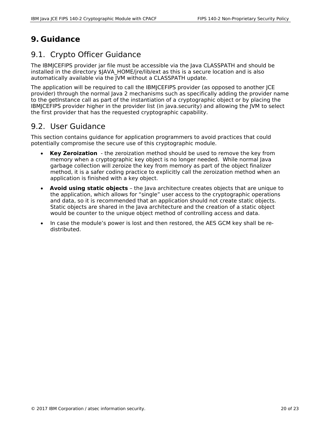## **9. Guidance**

#### 9.1. Crypto Officer Guidance

The IBMJCEFIPS provider jar file must be accessible via the Java CLASSPATH and should be installed in the directory \$JAVA\_HOME/jre/lib/ext as this is a secure location and is also automatically available via the JVM without a CLASSPATH update.

The application will be required to call the IBMJCEFIPS provider (as opposed to another JCE provider) through the normal Java 2 mechanisms such as specifically adding the provider name to the getInstance call as part of the instantiation of a cryptographic object or by placing the IBMJCEFIPS provider higher in the provider list (in java.security) and allowing the JVM to select the first provider that has the requested cryptographic capability.

#### 9.2. User Guidance

This section contains guidance for application programmers to avoid practices that could potentially compromise the secure use of this cryptographic module.

- **Key Zeroization** the zeroization method should be used to remove the key from memory when a cryptographic key object is no longer needed. While normal Java garbage collection will zeroize the key from memory as part of the object finalizer method, it is a safer coding practice to explicitly call the zeroization method when an application is finished with a key object.
- **Avoid using static objects** the Java architecture creates objects that are unique to the application, which allows for "single" user access to the cryptographic operations and data, so it is recommended that an application should not create static objects. Static objects are shared in the Java architecture and the creation of a static object would be counter to the unique object method of controlling access and data.
- In case the module's power is lost and then restored, the AES GCM key shall be redistributed.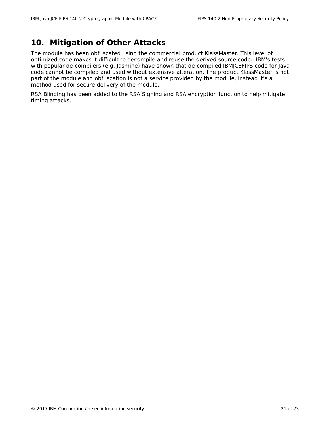#### **10. Mitigation of Other Attacks**

The module has been obfuscated using the commercial product KlassMaster. This level of optimized code makes it difficult to decompile and reuse the derived source code. IBM's tests with popular de-compilers (e.g. Jasmine) have shown that de-compiled IBMJCEFIPS code for Java code cannot be compiled and used without extensive alteration. The product KlassMaster is not part of the module and obfuscation is not a service provided by the module, instead it's a method used for secure delivery of the module.

RSA Blinding has been added to the RSA Signing and RSA encryption function to help mitigate timing attacks.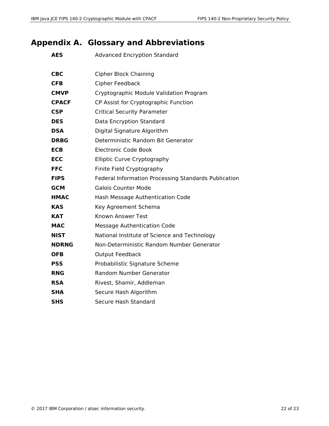# **Appendix A. Glossary and Abbreviations**

| <b>AES</b>   | <b>Advanced Encryption Standard</b>                  |
|--------------|------------------------------------------------------|
| <b>CBC</b>   | <b>Cipher Block Chaining</b>                         |
| <b>CFB</b>   | Cipher Feedback                                      |
| <b>CMVP</b>  | Cryptographic Module Validation Program              |
| <b>CPACF</b> | CP Assist for Cryptographic Function                 |
| <b>CSP</b>   | <b>Critical Security Parameter</b>                   |
| <b>DES</b>   | Data Encryption Standard                             |
| <b>DSA</b>   | Digital Signature Algorithm                          |
| <b>DRBG</b>  | Deterministic Random Bit Generator                   |
| <b>ECB</b>   | Electronic Code Book                                 |
| <b>ECC</b>   | Elliptic Curve Cryptography                          |
| <b>FFC</b>   | Finite Field Cryptography                            |
| <b>FIPS</b>  | Federal Information Processing Standards Publication |
| <b>GCM</b>   | <b>Galois Counter Mode</b>                           |
| <b>HMAC</b>  | Hash Message Authentication Code                     |
| <b>KAS</b>   | Key Agreement Schema                                 |
| KAT          | Known Answer Test                                    |
| MAC          | <b>Message Authentication Code</b>                   |
| <b>NIST</b>  | National Institute of Science and Technology         |
| <b>NDRNG</b> | Non-Deterministic Random Number Generator            |
| <b>OFB</b>   | <b>Output Feedback</b>                               |
| <b>PSS</b>   | Probabilistic Signature Scheme                       |
| <b>RNG</b>   | <b>Random Number Generator</b>                       |
| <b>RSA</b>   | Rivest, Shamir, Addleman                             |
| <b>SHA</b>   | Secure Hash Algorithm                                |
| SHS          | Secure Hash Standard                                 |